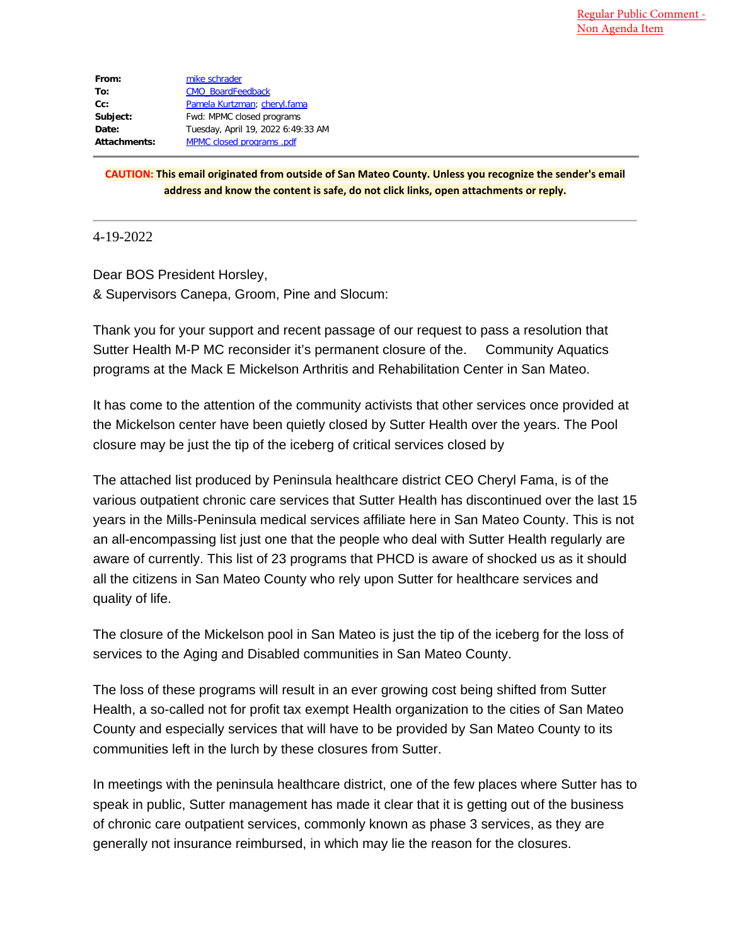| From:        | mike schrader                      |
|--------------|------------------------------------|
| To:          | <b>CMO</b> BoardFeedback           |
| $Cc$ :       | Pamela Kurtzman; cheryl.fama       |
| Subject:     | Fwd: MPMC closed programs          |
| Date:        | Tuesday, April 19, 2022 6:49:33 AM |
| Attachments: | MPMC closed programs .pdf          |

**CAUTION: This email originated from outside of San Mateo County. Unless you recognize the sender's email address and know the content is safe, do not click links, open attachments or reply.**

4-19-2022

Dear BOS President Horsley, & Supervisors Canepa, Groom, Pine and Slocum:

Thank you for your support and recent passage of our request to pass a resolution that Sutter Health M-P MC reconsider it's permanent closure of the. Community Aquatics programs at the Mack E Mickelson Arthritis and Rehabilitation Center in San Mateo.

It has come to the attention of the community activists that other services once provided at the Mickelson center have been quietly closed by Sutter Health over the years. The Pool closure may be just the tip of the iceberg of critical services closed by

The attached list produced by Peninsula healthcare district CEO Cheryl Fama, is of the various outpatient chronic care services that Sutter Health has discontinued over the last 15 years in the Mills-Peninsula medical services affiliate here in San Mateo County. This is not an all-encompassing list just one that the people who deal with Sutter Health regularly are aware of currently. This list of 23 programs that PHCD is aware of shocked us as it should all the citizens in San Mateo County who rely upon Sutter for healthcare services and quality of life.

The closure of the Mickelson pool in San Mateo is just the tip of the iceberg for the loss of services to the Aging and Disabled communities in San Mateo County.

The loss of these programs will result in an ever growing cost being shifted from Sutter Health, a so-called not for profit tax exempt Health organization to the cities of San Mateo County and especially services that will have to be provided by San Mateo County to its communities left in the lurch by these closures from Sutter.

In meetings with the peninsula healthcare district, one of the few places where Sutter has to speak in public, Sutter management has made it clear that it is getting out of the business of chronic care outpatient services, commonly known as phase 3 services, as they are generally not insurance reimbursed, in which may lie the reason for the closures.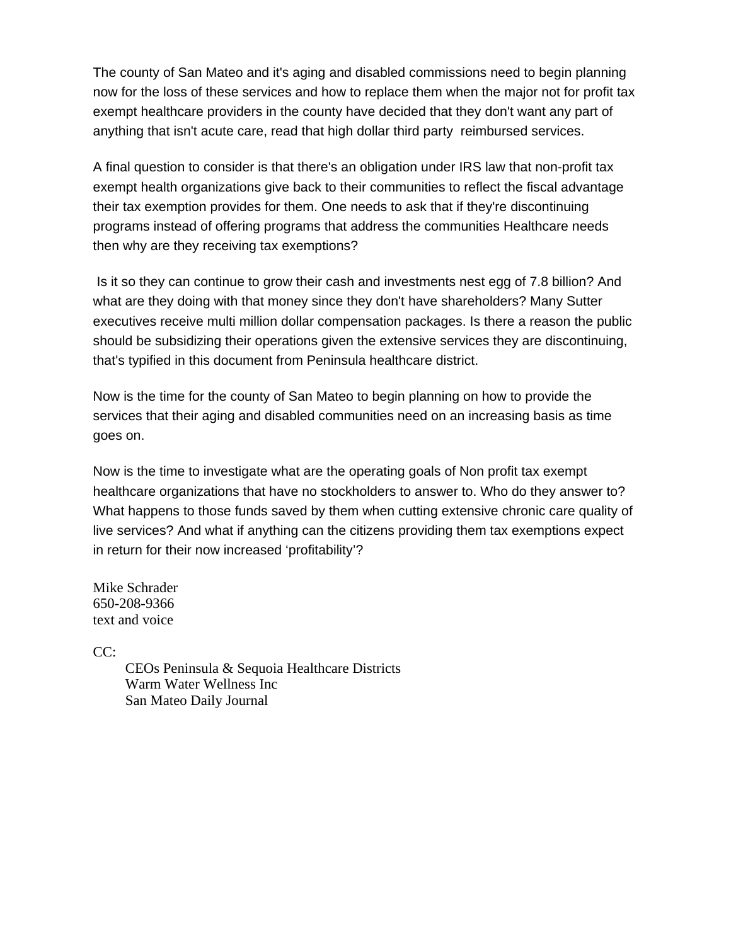The county of San Mateo and it's aging and disabled commissions need to begin planning now for the loss of these services and how to replace them when the major not for profit tax exempt healthcare providers in the county have decided that they don't want any part of anything that isn't acute care, read that high dollar third party reimbursed services.

A final question to consider is that there's an obligation under IRS law that non-profit tax exempt health organizations give back to their communities to reflect the fiscal advantage their tax exemption provides for them. One needs to ask that if they're discontinuing programs instead of offering programs that address the communities Healthcare needs then why are they receiving tax exemptions?

Is it so they can continue to grow their cash and investments nest egg of 7.8 billion? And what are they doing with that money since they don't have shareholders? Many Sutter executives receive multi million dollar compensation packages. Is there a reason the public should be subsidizing their operations given the extensive services they are discontinuing, that's typified in this document from Peninsula healthcare district.

Now is the time for the county of San Mateo to begin planning on how to provide the services that their aging and disabled communities need on an increasing basis as time goes on.

Now is the time to investigate what are the operating goals of Non profit tax exempt healthcare organizations that have no stockholders to answer to. Who do they answer to? What happens to those funds saved by them when cutting extensive chronic care quality of live services? And what if anything can the citizens providing them tax exemptions expect in return for their now increased 'profitability'?

Mike Schrader 650-208-9366 text and voice

 $CC:$ 

CEOs Peninsula & Sequoia Healthcare Districts Warm Water Wellness Inc San Mateo Daily Journal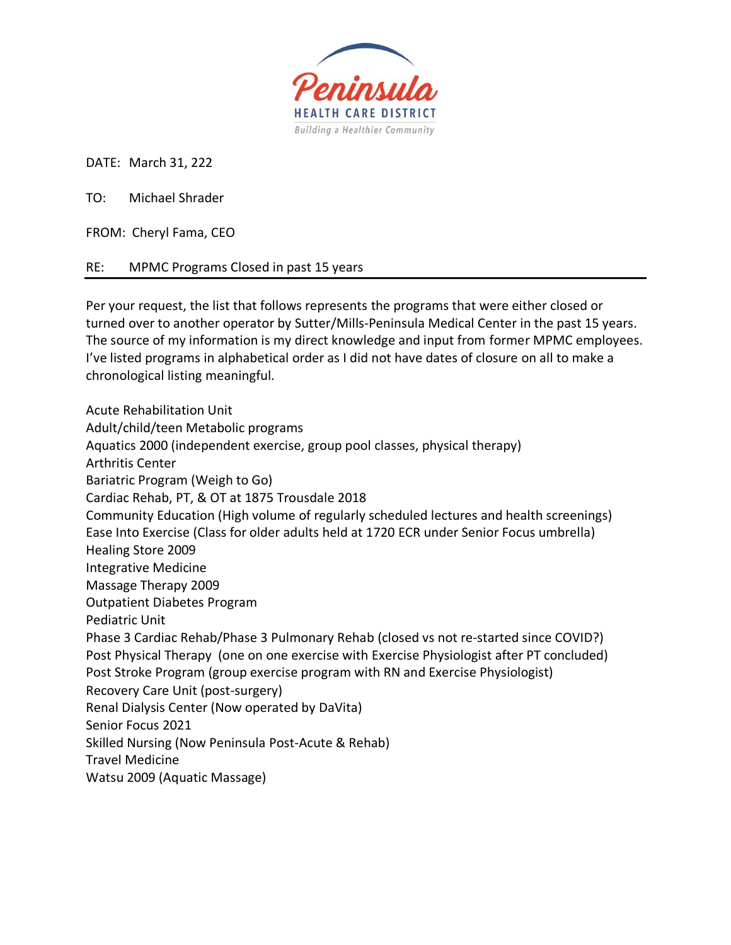

DATE: March 31, 222

TO: Michael Shrader

FROM: Cheryl Fama, CEO

RE: MPMC Programs Closed in past 15 years

Per your request, the list that follows represents the programs that were either closed or turned over to another operator by Sutter/Mills-Peninsula Medical Center in the past 15 years. The source of my information is my direct knowledge and input from former MPMC employees. I've listed programs in alphabetical order as I did not have dates of closure on all to make a chronological listing meaningful.

Acute Rehabilitation Unit Adult/child/teen Metabolic programs Aquatics 2000 (independent exercise, group pool classes, physical therapy) Arthritis Center Bariatric Program (Weigh to Go) Cardiac Rehab, PT, & OT at 1875 Trousdale 2018 Community Education (High volume of regularly scheduled lectures and health screenings) Ease Into Exercise (Class for older adults held at 1720 ECR under Senior Focus umbrella) Healing Store 2009 Integrative Medicine Massage Therapy 2009 Outpatient Diabetes Program Pediatric Unit Phase 3 Cardiac Rehab/Phase 3 Pulmonary Rehab (closed vs not re-started since COVID?) Post Physical Therapy (one on one exercise with Exercise Physiologist after PT concluded) Post Stroke Program (group exercise program with RN and Exercise Physiologist) Recovery Care Unit (post-surgery) Renal Dialysis Center (Now operated by DaVita) Senior Focus 2021 Skilled Nursing (Now Peninsula Post-Acute & Rehab) Travel Medicine Watsu 2009 (Aquatic Massage)